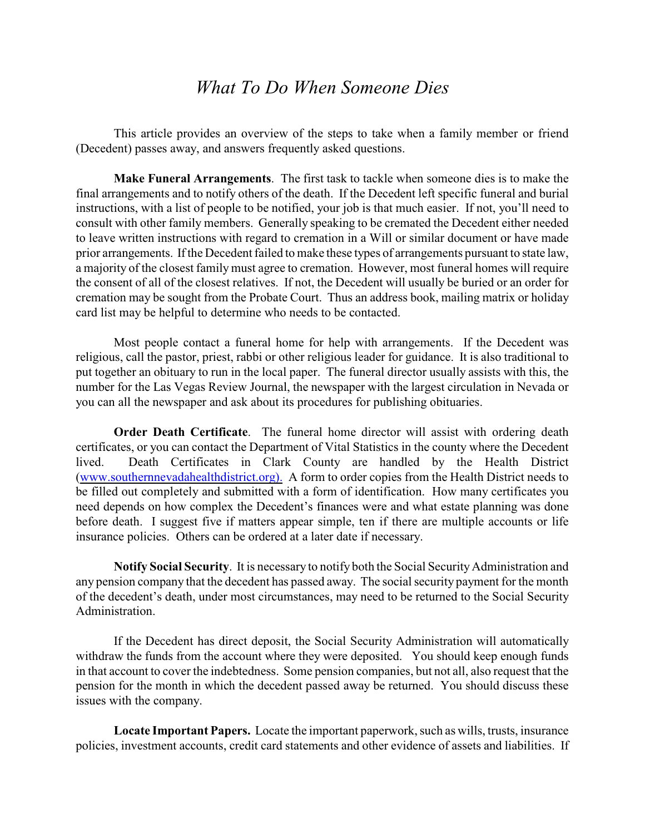## *What To Do When Someone Dies*

This article provides an overview of the steps to take when a family member or friend (Decedent) passes away, and answers frequently asked questions.

**Make Funeral Arrangements**. The first task to tackle when someone dies is to make the final arrangements and to notify others of the death. If the Decedent left specific funeral and burial instructions, with a list of people to be notified, your job is that much easier. If not, you'll need to consult with other family members. Generally speaking to be cremated the Decedent either needed to leave written instructions with regard to cremation in a Will or similar document or have made prior arrangements. If the Decedent failed to make these types of arrangements pursuant to state law, a majority of the closest family must agree to cremation. However, most funeral homes will require the consent of all of the closest relatives. If not, the Decedent will usually be buried or an order for cremation may be sought from the Probate Court. Thus an address book, mailing matrix or holiday card list may be helpful to determine who needs to be contacted.

Most people contact a funeral home for help with arrangements. If the Decedent was religious, call the pastor, priest, rabbi or other religious leader for guidance. It is also traditional to put together an obituary to run in the local paper. The funeral director usually assists with this, the number for the Las Vegas Review Journal, the newspaper with the largest circulation in Nevada or you can all the newspaper and ask about its procedures for publishing obituaries.

**Order Death Certificate**. The funeral home director will assist with ordering death certificates, or you can contact the Department of Vital Statistics in the county where the Decedent lived. Death Certificates in Clark County are handled by the Health District [\(www.southernnevadahealthdistrict.org\).](http://www.southernnevadahealthdistrict.org).) A form to order copies from the Health District needs to be filled out completely and submitted with a form of identification. How many certificates you need depends on how complex the Decedent's finances were and what estate planning was done before death. I suggest five if matters appear simple, ten if there are multiple accounts or life insurance policies. Others can be ordered at a later date if necessary.

**Notify Social Security**. It is necessary to notify both the Social Security Administration and any pension company that the decedent has passed away. The social security payment for the month of the decedent's death, under most circumstances, may need to be returned to the Social Security Administration.

If the Decedent has direct deposit, the Social Security Administration will automatically withdraw the funds from the account where they were deposited. You should keep enough funds in that account to cover the indebtedness. Some pension companies, but not all, also request that the pension for the month in which the decedent passed away be returned. You should discuss these issues with the company.

**Locate Important Papers.** Locate the important paperwork, such as wills, trusts, insurance policies, investment accounts, credit card statements and other evidence of assets and liabilities. If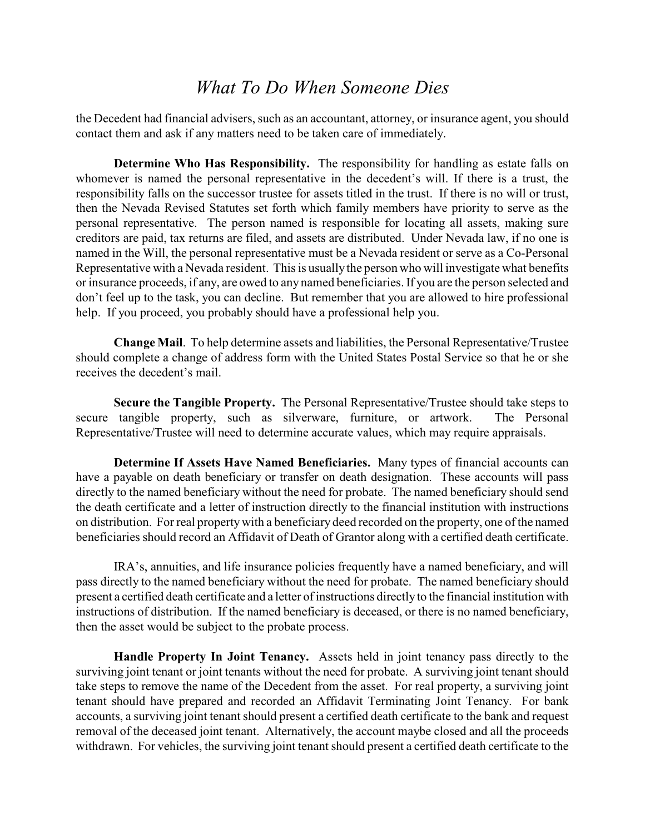## *What To Do When Someone Dies*

the Decedent had financial advisers, such as an accountant, attorney, or insurance agent, you should contact them and ask if any matters need to be taken care of immediately.

**Determine Who Has Responsibility.** The responsibility for handling as estate falls on whomever is named the personal representative in the decedent's will. If there is a trust, the responsibility falls on the successor trustee for assets titled in the trust. If there is no will or trust, then the Nevada Revised Statutes set forth which family members have priority to serve as the personal representative. The person named is responsible for locating all assets, making sure creditors are paid, tax returns are filed, and assets are distributed. Under Nevada law, if no one is named in the Will, the personal representative must be a Nevada resident or serve as a Co-Personal Representative with a Nevada resident. This is usuallythe person who will investigate what benefits or insurance proceeds, if any, are owed to any named beneficiaries. If you are the person selected and don't feel up to the task, you can decline. But remember that you are allowed to hire professional help. If you proceed, you probably should have a professional help you.

**Change Mail**. To help determine assets and liabilities, the Personal Representative/Trustee should complete a change of address form with the United States Postal Service so that he or she receives the decedent's mail.

**Secure the Tangible Property.** The Personal Representative/Trustee should take steps to secure tangible property, such as silverware, furniture, or artwork. The Personal Representative/Trustee will need to determine accurate values, which may require appraisals.

**Determine If Assets Have Named Beneficiaries.** Many types of financial accounts can have a payable on death beneficiary or transfer on death designation. These accounts will pass directly to the named beneficiary without the need for probate. The named beneficiary should send the death certificate and a letter of instruction directly to the financial institution with instructions on distribution. For real property with a beneficiary deed recorded on the property, one of the named beneficiaries should record an Affidavit of Death of Grantor along with a certified death certificate.

IRA's, annuities, and life insurance policies frequently have a named beneficiary, and will pass directly to the named beneficiary without the need for probate. The named beneficiary should present a certified death certificate and a letter of instructions directly to the financial institution with instructions of distribution. If the named beneficiary is deceased, or there is no named beneficiary, then the asset would be subject to the probate process.

**Handle Property In Joint Tenancy.** Assets held in joint tenancy pass directly to the surviving joint tenant or joint tenants without the need for probate. A surviving joint tenant should take steps to remove the name of the Decedent from the asset. For real property, a surviving joint tenant should have prepared and recorded an Affidavit Terminating Joint Tenancy. For bank accounts, a surviving joint tenant should present a certified death certificate to the bank and request removal of the deceased joint tenant. Alternatively, the account maybe closed and all the proceeds withdrawn. For vehicles, the surviving joint tenant should present a certified death certificate to the